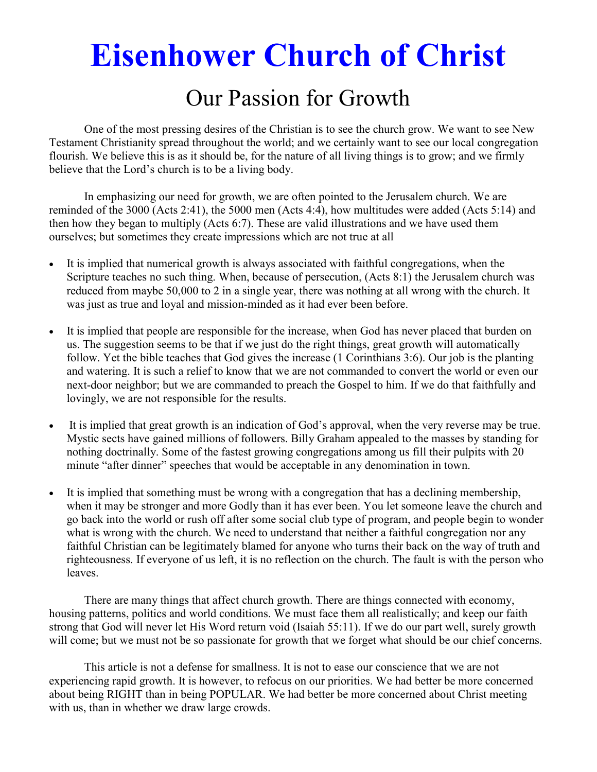# **Eisenhower Church of Christ**

## Our Passion for Growth

 One of the most pressing desires of the Christian is to see the church grow. We want to see New Testament Christianity spread throughout the world; and we certainly want to see our local congregation flourish. We believe this is as it should be, for the nature of all living things is to grow; and we firmly believe that the Lord's church is to be a living body.

 In emphasizing our need for growth, we are often pointed to the Jerusalem church. We are reminded of the 3000 (Acts 2:41), the 5000 men (Acts 4:4), how multitudes were added (Acts 5:14) and then how they began to multiply (Acts 6:7). These are valid illustrations and we have used them ourselves; but sometimes they create impressions which are not true at all

- It is implied that numerical growth is always associated with faithful congregations, when the Scripture teaches no such thing. When, because of persecution, (Acts 8:1) the Jerusalem church was reduced from maybe 50,000 to 2 in a single year, there was nothing at all wrong with the church. It was just as true and loyal and mission-minded as it had ever been before.
- It is implied that people are responsible for the increase, when God has never placed that burden on us. The suggestion seems to be that if we just do the right things, great growth will automatically follow. Yet the bible teaches that God gives the increase (1 Corinthians 3:6). Our job is the planting and watering. It is such a relief to know that we are not commanded to convert the world or even our next-door neighbor; but we are commanded to preach the Gospel to him. If we do that faithfully and lovingly, we are not responsible for the results.
- It is implied that great growth is an indication of God's approval, when the very reverse may be true. Mystic sects have gained millions of followers. Billy Graham appealed to the masses by standing for nothing doctrinally. Some of the fastest growing congregations among us fill their pulpits with 20 minute "after dinner" speeches that would be acceptable in any denomination in town.
- It is implied that something must be wrong with a congregation that has a declining membership, when it may be stronger and more Godly than it has ever been. You let someone leave the church and go back into the world or rush off after some social club type of program, and people begin to wonder what is wrong with the church. We need to understand that neither a faithful congregation nor any faithful Christian can be legitimately blamed for anyone who turns their back on the way of truth and righteousness. If everyone of us left, it is no reflection on the church. The fault is with the person who leaves.

 There are many things that affect church growth. There are things connected with economy, housing patterns, politics and world conditions. We must face them all realistically; and keep our faith strong that God will never let His Word return void (Isaiah 55:11). If we do our part well, surely growth will come; but we must not be so passionate for growth that we forget what should be our chief concerns.

 This article is not a defense for smallness. It is not to ease our conscience that we are not experiencing rapid growth. It is however, to refocus on our priorities. We had better be more concerned about being RIGHT than in being POPULAR. We had better be more concerned about Christ meeting with us, than in whether we draw large crowds.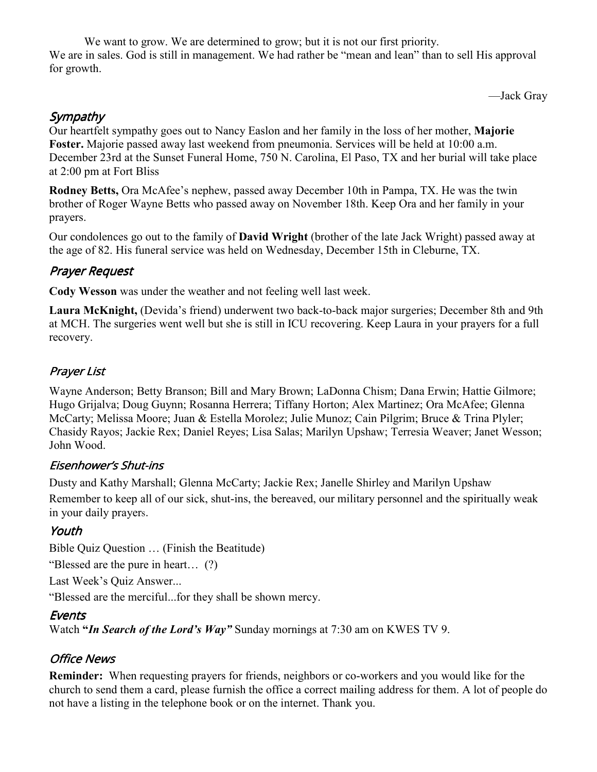We want to grow. We are determined to grow; but it is not our first priority. We are in sales. God is still in management. We had rather be "mean and lean" than to sell His approval for growth.

—Jack Gray

### **Sympathy**

Our heartfelt sympathy goes out to Nancy Easlon and her family in the loss of her mother, **Majorie Foster.** Majorie passed away last weekend from pneumonia. Services will be held at 10:00 a.m. December 23rd at the Sunset Funeral Home, 750 N. Carolina, El Paso, TX and her burial will take place at 2:00 pm at Fort Bliss

**Rodney Betts,** Ora McAfee's nephew, passed away December 10th in Pampa, TX. He was the twin brother of Roger Wayne Betts who passed away on November 18th. Keep Ora and her family in your prayers.

Our condolences go out to the family of **David Wright** (brother of the late Jack Wright) passed away at the age of 82. His funeral service was held on Wednesday, December 15th in Cleburne, TX.

#### Prayer Request

**Cody Wesson** was under the weather and not feeling well last week.

**Laura McKnight,** (Devida's friend) underwent two back-to-back major surgeries; December 8th and 9th at MCH. The surgeries went well but she is still in ICU recovering. Keep Laura in your prayers for a full recovery.

### Prayer List

Wayne Anderson; Betty Branson; Bill and Mary Brown; LaDonna Chism; Dana Erwin; Hattie Gilmore; Hugo Grijalva; Doug Guynn; Rosanna Herrera; Tiffany Horton; Alex Martinez; Ora McAfee; Glenna McCarty; Melissa Moore; Juan & Estella Morolez; Julie Munoz; Cain Pilgrim; Bruce & Trina Plyler; Chasidy Rayos; Jackie Rex; Daniel Reyes; Lisa Salas; Marilyn Upshaw; Terresia Weaver; Janet Wesson; John Wood.

#### Eisenhower's Shut-ins

Dusty and Kathy Marshall; Glenna McCarty; Jackie Rex; Janelle Shirley and Marilyn Upshaw

Remember to keep all of our sick, shut-ins, the bereaved, our military personnel and the spiritually weak in your daily prayers.

#### Youth

Bible Quiz Question … (Finish the Beatitude)

"Blessed are the pure in heart… (?)

Last Week's Quiz Answer...

"Blessed are the merciful...for they shall be shown mercy.

#### Events

Watch **"***In Search of the Lord's Way"* Sunday mornings at 7:30 am on KWES TV 9.

#### Office News

**Reminder:** When requesting prayers for friends, neighbors or co-workers and you would like for the church to send them a card, please furnish the office a correct mailing address for them. A lot of people do not have a listing in the telephone book or on the internet. Thank you.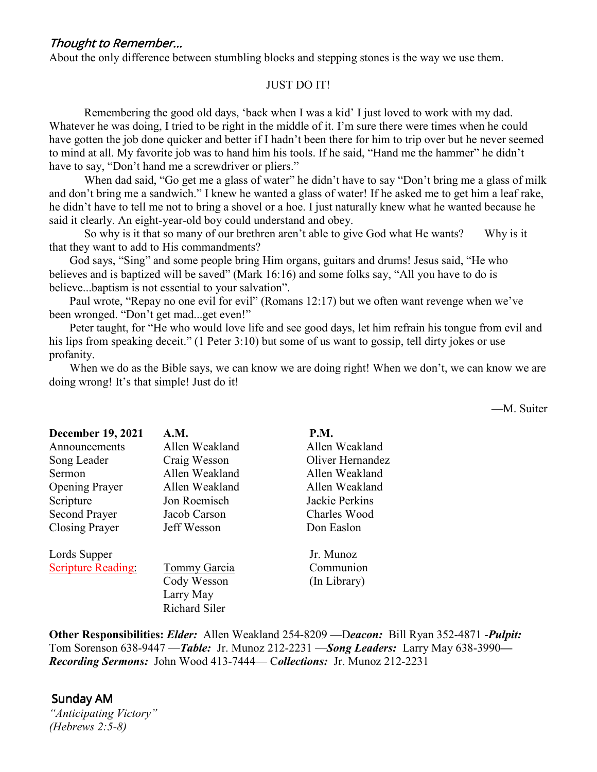#### Thought to Remember...

About the only difference between stumbling blocks and stepping stones is the way we use them.

#### JUST DO IT!

Remembering the good old days, 'back when I was a kid' I just loved to work with my dad. Whatever he was doing, I tried to be right in the middle of it. I'm sure there were times when he could have gotten the job done quicker and better if I hadn't been there for him to trip over but he never seemed to mind at all. My favorite job was to hand him his tools. If he said, "Hand me the hammer" he didn't have to say, "Don't hand me a screwdriver or pliers."

When dad said, "Go get me a glass of water" he didn't have to say "Don't bring me a glass of milk and don't bring me a sandwich." I knew he wanted a glass of water! If he asked me to get him a leaf rake, he didn't have to tell me not to bring a shovel or a hoe. I just naturally knew what he wanted because he said it clearly. An eight-year-old boy could understand and obey.

 So why is it that so many of our brethren aren't able to give God what He wants? Why is it that they want to add to His commandments?

 God says, "Sing" and some people bring Him organs, guitars and drums! Jesus said, "He who believes and is baptized will be saved" (Mark 16:16) and some folks say, "All you have to do is believe...baptism is not essential to your salvation".

Paul wrote, "Repay no one evil for evil" (Romans 12:17) but we often want revenge when we've been wronged. "Don't get mad...get even!"

 Peter taught, for "He who would love life and see good days, let him refrain his tongue from evil and his lips from speaking deceit." (1 Peter 3:10) but some of us want to gossip, tell dirty jokes or use profanity.

When we do as the Bible says, we can know we are doing right! When we don't, we can know we are doing wrong! It's that simple! Just do it!

—M. Suiter

| <b>December 19, 2021</b>  | A.M.                 | <b>P.M.</b>      |
|---------------------------|----------------------|------------------|
| Announcements             | Allen Weakland       | Allen Weakland   |
| Song Leader               | Craig Wesson         | Oliver Hernandez |
| Sermon                    | Allen Weakland       | Allen Weakland   |
| <b>Opening Prayer</b>     | Allen Weakland       | Allen Weakland   |
| Scripture                 | Jon Roemisch         | Jackie Perkins   |
| <b>Second Prayer</b>      | Jacob Carson         | Charles Wood     |
| Closing Prayer            | Jeff Wesson          | Don Easlon       |
| Lords Supper              |                      | Jr. Munoz        |
| <b>Scripture Reading:</b> | Tommy Garcia         | Communion        |
|                           | Cody Wesson          | (In Library)     |
|                           | Larry May            |                  |
|                           | <b>Richard Siler</b> |                  |

**Other Responsibilities:** *Elder:* Allen Weakland 254-8209 —D*eacon:*Bill Ryan 352-4871 -*Pulpit:* Tom Sorenson 638-9447 —*Table:* Jr. Munoz 212-2231 —*Song Leaders:* Larry May 638-3990*— Recording Sermons:* John Wood 413-7444— C*ollections:* Jr. Munoz 212-2231

# Sunday AM

*"Anticipating Victory" (Hebrews 2:5-8)*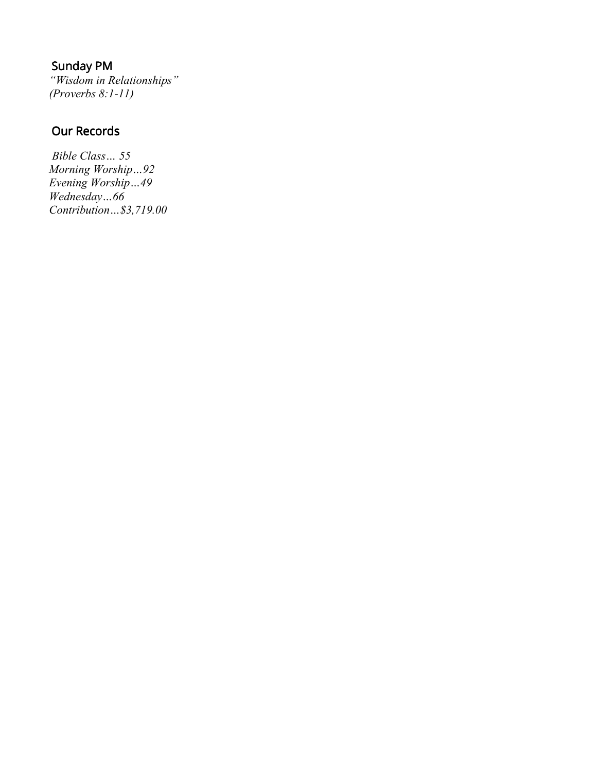### Sunday PM

*"Wisdom in Relationships" (Proverbs 8:1-11)* 

### Our Records

*Bible Class… 55 Morning Worship…92 Evening Worship…49 Wednesday…66 Contribution…\$3,719.00*